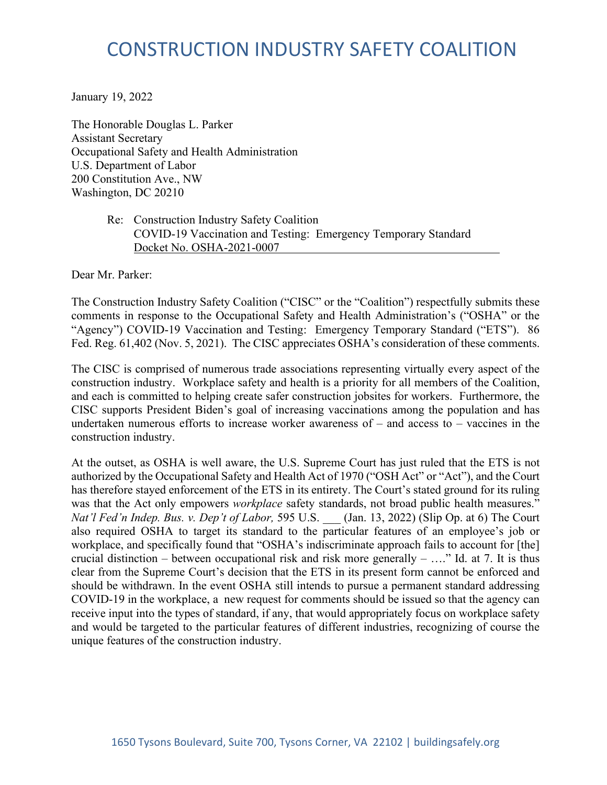# CONSTRUCTION INDUSTRY SAFETY COALITION

January 19, 2022

The Honorable Douglas L. Parker Assistant Secretary Occupational Safety and Health Administration U.S. Department of Labor 200 Constitution Ave., NW Washington, DC 20210

> Re: Construction Industry Safety Coalition COVID-19 Vaccination and Testing: Emergency Temporary Standard Docket No. OSHA-2021-0007

Dear Mr. Parker:

The Construction Industry Safety Coalition ("CISC" or the "Coalition") respectfully submits these comments in response to the Occupational Safety and Health Administration's ("OSHA" or the "Agency") COVID-19 Vaccination and Testing: Emergency Temporary Standard ("ETS"). 86 Fed. Reg. 61,402 (Nov. 5, 2021). The CISC appreciates OSHA's consideration of these comments.

The CISC is comprised of numerous trade associations representing virtually every aspect of the construction industry. Workplace safety and health is a priority for all members of the Coalition, and each is committed to helping create safer construction jobsites for workers. Furthermore, the CISC supports President Biden's goal of increasing vaccinations among the population and has undertaken numerous efforts to increase worker awareness of – and access to – vaccines in the construction industry.

At the outset, as OSHA is well aware, the U.S. Supreme Court has just ruled that the ETS is not authorized by the Occupational Safety and Health Act of 1970 ("OSH Act" or "Act"), and the Court has therefore stayed enforcement of the ETS in its entirety. The Court's stated ground for its ruling was that the Act only empowers *workplace* safety standards, not broad public health measures." *Nat'l Fed'n Indep. Bus. v. Dep't of Labor,* 595 U.S. \_\_\_ (Jan. 13, 2022) (Slip Op. at 6) The Court also required OSHA to target its standard to the particular features of an employee's job or workplace, and specifically found that "OSHA's indiscriminate approach fails to account for [the] crucial distinction – between occupational risk and risk more generally – ...." Id. at 7. It is thus clear from the Supreme Court's decision that the ETS in its present form cannot be enforced and should be withdrawn. In the event OSHA still intends to pursue a permanent standard addressing COVID-19 in the workplace, a new request for comments should be issued so that the agency can receive input into the types of standard, if any, that would appropriately focus on workplace safety and would be targeted to the particular features of different industries, recognizing of course the unique features of the construction industry.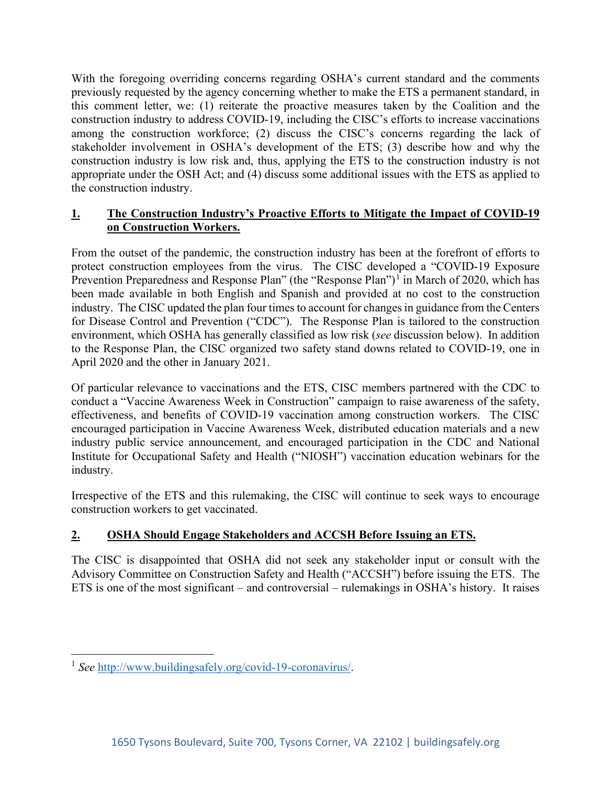With the foregoing overriding concerns regarding OSHA's current standard and the comments previously requested by the agency concerning whether to make the ETS a permanent standard, in this comment letter, we: (1) reiterate the proactive measures taken by the Coalition and the construction industry to address COVID-19, including the CISC's efforts to increase vaccinations among the construction workforce; (2) discuss the CISC's concerns regarding the lack of stakeholder involvement in OSHA's development of the ETS; (3) describe how and why the construction industry is low risk and, thus, applying the ETS to the construction industry is not appropriate under the OSH Act; and (4) discuss some additional issues with the ETS as applied to the construction industry.

## **1. The Construction Industry's Proactive Efforts to Mitigate the Impact of COVID-19 on Construction Workers.**

From the outset of the pandemic, the construction industry has been at the forefront of efforts to protect construction employees from the virus. The CISC developed a "COVID-19 Exposure Prevention Preparedness and Response Plan" (the "Response Plan")<sup>[1](#page-1-0)</sup> in March of 2020, which has been made available in both English and Spanish and provided at no cost to the construction industry. The CISC updated the plan four times to account for changes in guidance from the Centers for Disease Control and Prevention ("CDC"). The Response Plan is tailored to the construction environment, which OSHA has generally classified as low risk (*see* discussion below). In addition to the Response Plan, the CISC organized two safety stand downs related to COVID-19, one in April 2020 and the other in January 2021.

Of particular relevance to vaccinations and the ETS, CISC members partnered with the CDC to conduct a "Vaccine Awareness Week in Construction" campaign to raise awareness of the safety, effectiveness, and benefits of COVID-19 vaccination among construction workers. The CISC encouraged participation in Vaccine Awareness Week, distributed education materials and a new industry public service announcement, and encouraged participation in the CDC and National Institute for Occupational Safety and Health ("NIOSH") vaccination education webinars for the industry.

Irrespective of the ETS and this rulemaking, the CISC will continue to seek ways to encourage construction workers to get vaccinated.

# **2. OSHA Should Engage Stakeholders and ACCSH Before Issuing an ETS.**

The CISC is disappointed that OSHA did not seek any stakeholder input or consult with the Advisory Committee on Construction Safety and Health ("ACCSH") before issuing the ETS. The ETS is one of the most significant – and controversial – rulemakings in OSHA's history. It raises

<span id="page-1-0"></span><sup>1</sup> *See* [http://www.buildingsafely.org/covid-19-coronavirus/.](http://www.buildingsafely.org/covid-19-coronavirus/)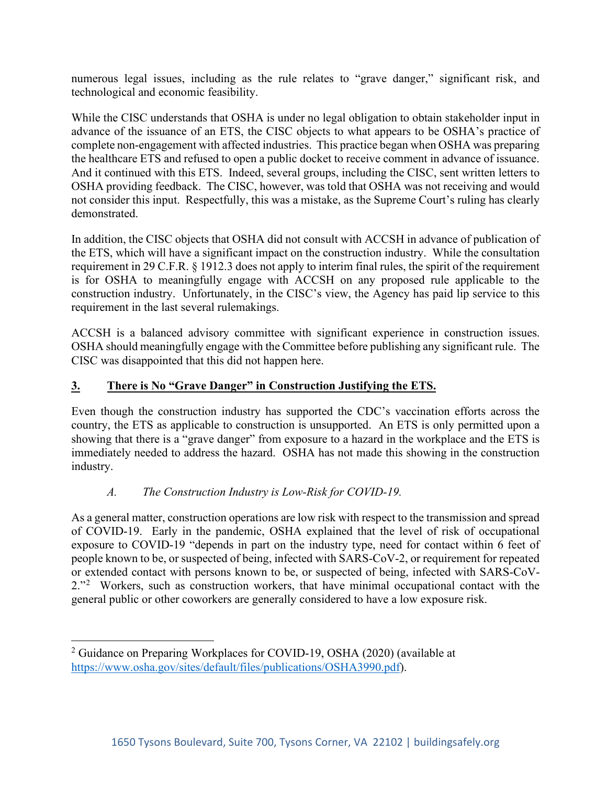numerous legal issues, including as the rule relates to "grave danger," significant risk, and technological and economic feasibility.

While the CISC understands that OSHA is under no legal obligation to obtain stakeholder input in advance of the issuance of an ETS, the CISC objects to what appears to be OSHA's practice of complete non-engagement with affected industries. This practice began when OSHA was preparing the healthcare ETS and refused to open a public docket to receive comment in advance of issuance. And it continued with this ETS. Indeed, several groups, including the CISC, sent written letters to OSHA providing feedback. The CISC, however, was told that OSHA was not receiving and would not consider this input. Respectfully, this was a mistake, as the Supreme Court's ruling has clearly demonstrated.

In addition, the CISC objects that OSHA did not consult with ACCSH in advance of publication of the ETS, which will have a significant impact on the construction industry. While the consultation requirement in 29 C.F.R. § 1912.3 does not apply to interim final rules, the spirit of the requirement is for OSHA to meaningfully engage with ACCSH on any proposed rule applicable to the construction industry. Unfortunately, in the CISC's view, the Agency has paid lip service to this requirement in the last several rulemakings.

ACCSH is a balanced advisory committee with significant experience in construction issues. OSHA should meaningfully engage with the Committee before publishing any significant rule. The CISC was disappointed that this did not happen here.

## **3. There is No "Grave Danger" in Construction Justifying the ETS.**

Even though the construction industry has supported the CDC's vaccination efforts across the country, the ETS as applicable to construction is unsupported. An ETS is only permitted upon a showing that there is a "grave danger" from exposure to a hazard in the workplace and the ETS is immediately needed to address the hazard. OSHA has not made this showing in the construction industry.

#### *A. The Construction Industry is Low-Risk for COVID-19.*

As a general matter, construction operations are low risk with respect to the transmission and spread of COVID-19. Early in the pandemic, OSHA explained that the level of risk of occupational exposure to COVID-19 "depends in part on the industry type, need for contact within 6 feet of people known to be, or suspected of being, infected with SARS-CoV-2, or requirement for repeated or extended contact with persons known to be, or suspected of being, infected with SARS-CoV-[2](#page-2-0)."<sup>2</sup> Workers, such as construction workers, that have minimal occupational contact with the general public or other coworkers are generally considered to have a low exposure risk.

<span id="page-2-0"></span><sup>&</sup>lt;sup>2</sup> Guidance on Preparing Workplaces for COVID-19, OSHA (2020) (available at [https://www.osha.gov/sites/default/files/publications/OSHA3990.pdf\)](https://www.osha.gov/sites/default/files/publications/OSHA3990.pdf).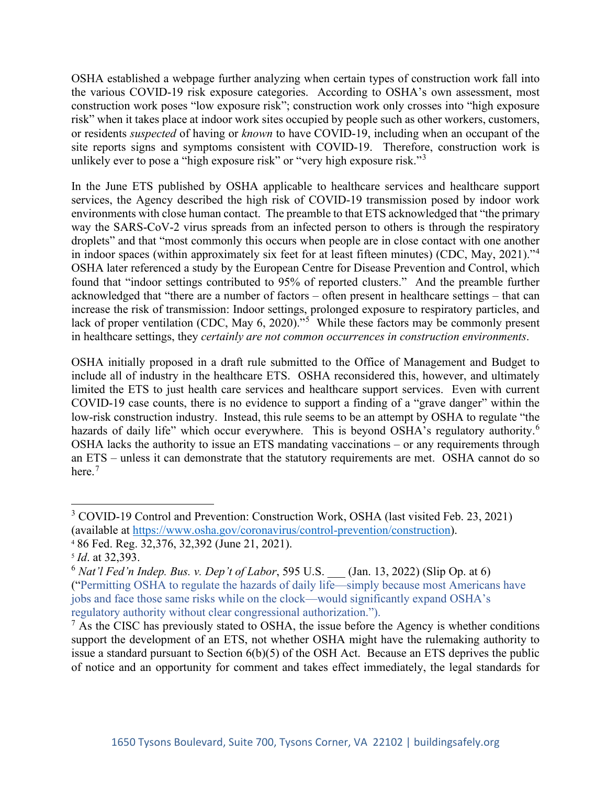OSHA established a webpage further analyzing when certain types of construction work fall into the various COVID-19 risk exposure categories. According to OSHA's own assessment, most construction work poses "low exposure risk"; construction work only crosses into "high exposure risk" when it takes place at indoor work sites occupied by people such as other workers, customers, or residents *suspected* of having or *known* to have COVID-19, including when an occupant of the site reports signs and symptoms consistent with COVID-19. Therefore, construction work is unlikely ever to pose a "high exposure risk" or "very high exposure risk."<sup>[3](#page-3-0)</sup>

In the June ETS published by OSHA applicable to healthcare services and healthcare support services, the Agency described the high risk of COVID-19 transmission posed by indoor work environments with close human contact. The preamble to that ETS acknowledged that "the primary way the SARS-CoV-2 virus spreads from an infected person to others is through the respiratory droplets" and that "most commonly this occurs when people are in close contact with one another in indoor spaces (within approximately six feet for at least fifteen minutes) (CDC, May, 2021)."[4](#page-3-1) OSHA later referenced a study by the European Centre for Disease Prevention and Control, which found that "indoor settings contributed to 95% of reported clusters." And the preamble further acknowledged that "there are a number of factors – often present in healthcare settings – that can increase the risk of transmission: Indoor settings, prolonged exposure to respiratory particles, and lack of proper ventilation (CDC, May 6, 2020)."<sup>[5](#page-3-2)</sup> While these factors may be commonly present in healthcare settings, they *certainly are not common occurrences in construction environments*.

OSHA initially proposed in a draft rule submitted to the Office of Management and Budget to include all of industry in the healthcare ETS. OSHA reconsidered this, however, and ultimately limited the ETS to just health care services and healthcare support services. Even with current COVID-19 case counts, there is no evidence to support a finding of a "grave danger" within the low-risk construction industry. Instead, this rule seems to be an attempt by OSHA to regulate "the hazards of daily life" which occur everywhere. This is beyond OSHA's regulatory authority.<sup>[6](#page-3-3)</sup> OSHA lacks the authority to issue an ETS mandating vaccinations – or any requirements through an ETS – unless it can demonstrate that the statutory requirements are met. OSHA cannot do so here.<sup>[7](#page-3-4)</sup>

<span id="page-3-0"></span><sup>&</sup>lt;sup>3</sup> COVID-19 Control and Prevention: Construction Work, OSHA (last visited Feb. 23, 2021) (available at [https://www.osha.gov/coronavirus/control-prevention/construction\)](https://www.osha.gov/coronavirus/control-prevention/construction).

<span id="page-3-1"></span><sup>4</sup> 86 Fed. Reg. 32,376, 32,392 (June 21, 2021).

<span id="page-3-2"></span><sup>5</sup> *Id*. at 32,393.

<span id="page-3-3"></span><sup>6</sup> *Nat'l Fed'n Indep. Bus. v. Dep't of Labor*, 595 U.S. \_\_\_ (Jan. 13, 2022) (Slip Op. at 6) ("Permitting OSHA to regulate the hazards of daily life—simply because most Americans have jobs and face those same risks while on the clock—would significantly expand OSHA's regulatory authority without clear congressional authorization.").

<span id="page-3-4"></span> $<sup>7</sup>$  As the CISC has previously stated to OSHA, the issue before the Agency is whether conditions</sup> support the development of an ETS, not whether OSHA might have the rulemaking authority to issue a standard pursuant to Section 6(b)(5) of the OSH Act. Because an ETS deprives the public of notice and an opportunity for comment and takes effect immediately, the legal standards for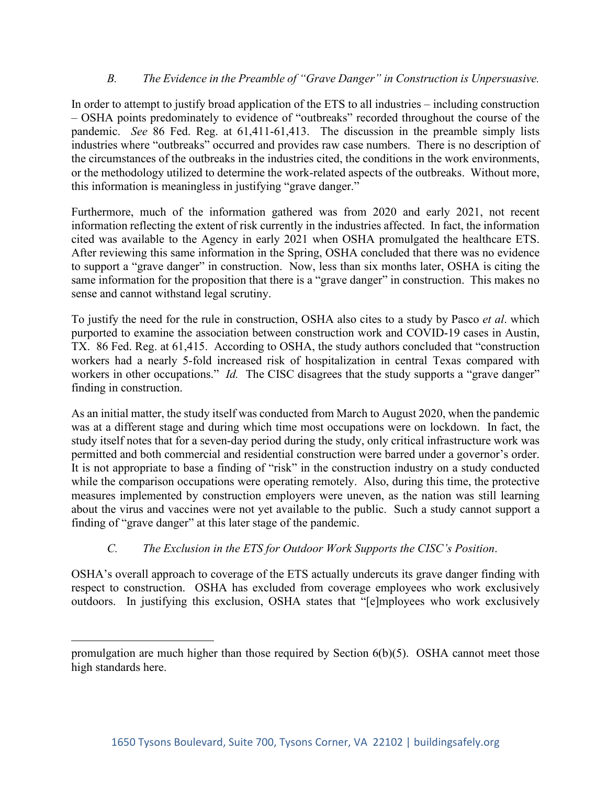## *B. The Evidence in the Preamble of "Grave Danger" in Construction is Unpersuasive.*

In order to attempt to justify broad application of the ETS to all industries – including construction – OSHA points predominately to evidence of "outbreaks" recorded throughout the course of the pandemic. *See* 86 Fed. Reg. at 61,411-61,413. The discussion in the preamble simply lists industries where "outbreaks" occurred and provides raw case numbers. There is no description of the circumstances of the outbreaks in the industries cited, the conditions in the work environments, or the methodology utilized to determine the work-related aspects of the outbreaks. Without more, this information is meaningless in justifying "grave danger."

Furthermore, much of the information gathered was from 2020 and early 2021, not recent information reflecting the extent of risk currently in the industries affected. In fact, the information cited was available to the Agency in early 2021 when OSHA promulgated the healthcare ETS. After reviewing this same information in the Spring, OSHA concluded that there was no evidence to support a "grave danger" in construction. Now, less than six months later, OSHA is citing the same information for the proposition that there is a "grave danger" in construction. This makes no sense and cannot withstand legal scrutiny.

To justify the need for the rule in construction, OSHA also cites to a study by Pasco *et al*. which purported to examine the association between construction work and COVID-19 cases in Austin, TX. 86 Fed. Reg. at 61,415. According to OSHA, the study authors concluded that "construction workers had a nearly 5-fold increased risk of hospitalization in central Texas compared with workers in other occupations." *Id.* The CISC disagrees that the study supports a "grave danger" finding in construction.

As an initial matter, the study itself was conducted from March to August 2020, when the pandemic was at a different stage and during which time most occupations were on lockdown. In fact, the study itself notes that for a seven-day period during the study, only critical infrastructure work was permitted and both commercial and residential construction were barred under a governor's order. It is not appropriate to base a finding of "risk" in the construction industry on a study conducted while the comparison occupations were operating remotely. Also, during this time, the protective measures implemented by construction employers were uneven, as the nation was still learning about the virus and vaccines were not yet available to the public. Such a study cannot support a finding of "grave danger" at this later stage of the pandemic.

## *C. The Exclusion in the ETS for Outdoor Work Supports the CISC's Position*.

OSHA's overall approach to coverage of the ETS actually undercuts its grave danger finding with respect to construction. OSHA has excluded from coverage employees who work exclusively outdoors. In justifying this exclusion, OSHA states that "[e]mployees who work exclusively

promulgation are much higher than those required by Section 6(b)(5). OSHA cannot meet those high standards here.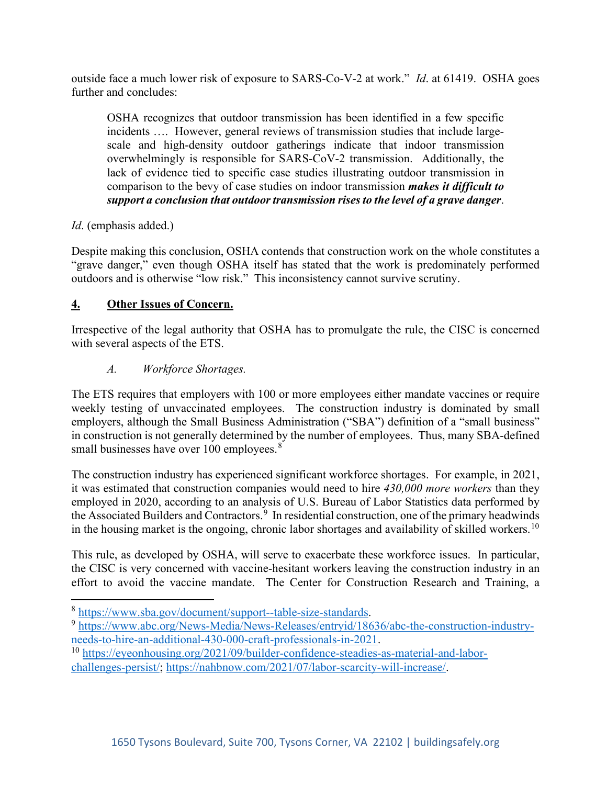outside face a much lower risk of exposure to SARS-Co-V-2 at work." *Id*. at 61419. OSHA goes further and concludes:

OSHA recognizes that outdoor transmission has been identified in a few specific incidents …. However, general reviews of transmission studies that include largescale and high-density outdoor gatherings indicate that indoor transmission overwhelmingly is responsible for SARS-CoV-2 transmission. Additionally, the lack of evidence tied to specific case studies illustrating outdoor transmission in comparison to the bevy of case studies on indoor transmission *makes it difficult to support a conclusion that outdoor transmission rises to the level of a grave danger*.

*Id*. (emphasis added.)

Despite making this conclusion, OSHA contends that construction work on the whole constitutes a "grave danger," even though OSHA itself has stated that the work is predominately performed outdoors and is otherwise "low risk." This inconsistency cannot survive scrutiny.

## **4. Other Issues of Concern.**

Irrespective of the legal authority that OSHA has to promulgate the rule, the CISC is concerned with several aspects of the ETS.

## *A. Workforce Shortages.*

The ETS requires that employers with 100 or more employees either mandate vaccines or require weekly testing of unvaccinated employees. The construction industry is dominated by small employers, although the Small Business Administration ("SBA") definition of a "small business" in construction is not generally determined by the number of employees. Thus, many SBA-defined small businesses have over  $100$  employees.<sup>[8](#page-5-0)</sup>

The construction industry has experienced significant workforce shortages. For example, in 2021, it was estimated that construction companies would need to hire *430,000 more workers* than they employed in 2020, according to an analysis of U.S. Bureau of Labor Statistics data performed by the Associated Builders and Contractors.<sup>[9](#page-5-1)</sup> In residential construction, one of the primary headwinds in the housing market is the ongoing, chronic labor shortages and availability of skilled workers.<sup>[10](#page-5-2)</sup>

This rule, as developed by OSHA, will serve to exacerbate these workforce issues. In particular, the CISC is very concerned with vaccine-hesitant workers leaving the construction industry in an effort to avoid the vaccine mandate. The Center for Construction Research and Training, a

<span id="page-5-1"></span><span id="page-5-0"></span><sup>&</sup>lt;sup>8</sup> [https://www.sba.gov/document/support--table-size-standards.](https://www.sba.gov/document/support--table-size-standards)<br><sup>9</sup> https://www.abc.org/News-Media/News-Releases/entryid/18636/abc-the-construction-industry-<br>needs-to-hire-an-additional-430-000-craft-professionals-in-2021.

<span id="page-5-2"></span><sup>&</sup>lt;sup>10</sup> [https://eyeonhousing.org/2021/09/builder-confidence-steadies-as-material-and-labor](https://eyeonhousing.org/2021/09/builder-confidence-steadies-as-material-and-labor-challenges-persist/)[challenges-persist/;](https://eyeonhousing.org/2021/09/builder-confidence-steadies-as-material-and-labor-challenges-persist/) [https://nahbnow.com/2021/07/labor-scarcity-will-increase/.](https://nahbnow.com/2021/07/labor-scarcity-will-increase/)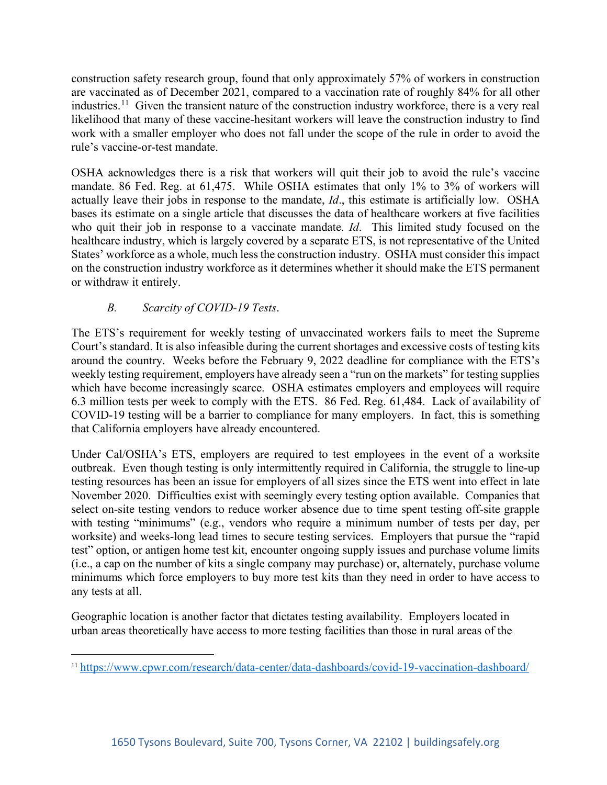construction safety research group, found that only approximately 57% of workers in construction are vaccinated as of December 2021, compared to a vaccination rate of roughly 84% for all other industries.<sup>[11](#page-6-0)</sup> Given the transient nature of the construction industry workforce, there is a very real likelihood that many of these vaccine-hesitant workers will leave the construction industry to find work with a smaller employer who does not fall under the scope of the rule in order to avoid the rule's vaccine-or-test mandate.

OSHA acknowledges there is a risk that workers will quit their job to avoid the rule's vaccine mandate. 86 Fed. Reg. at 61,475. While OSHA estimates that only 1% to 3% of workers will actually leave their jobs in response to the mandate, *Id*., this estimate is artificially low. OSHA bases its estimate on a single article that discusses the data of healthcare workers at five facilities who quit their job in response to a vaccinate mandate. *Id*. This limited study focused on the healthcare industry, which is largely covered by a separate ETS, is not representative of the United States' workforce as a whole, much less the construction industry. OSHA must consider this impact on the construction industry workforce as it determines whether it should make the ETS permanent or withdraw it entirely.

## *B. Scarcity of COVID-19 Tests*.

The ETS's requirement for weekly testing of unvaccinated workers fails to meet the Supreme Court's standard. It is also infeasible during the current shortages and excessive costs of testing kits around the country. Weeks before the February 9, 2022 deadline for compliance with the ETS's weekly testing requirement, employers have already seen a "run on the markets" for testing supplies which have become increasingly scarce. OSHA estimates employers and employees will require 6.3 million tests per week to comply with the ETS. 86 Fed. Reg. 61,484. Lack of availability of COVID-19 testing will be a barrier to compliance for many employers. In fact, this is something that California employers have already encountered.

Under Cal/OSHA's ETS, employers are required to test employees in the event of a worksite outbreak. Even though testing is only intermittently required in California, the struggle to line-up testing resources has been an issue for employers of all sizes since the ETS went into effect in late November 2020. Difficulties exist with seemingly every testing option available. Companies that select on-site testing vendors to reduce worker absence due to time spent testing off-site grapple with testing "minimums" (e.g., vendors who require a minimum number of tests per day, per worksite) and weeks-long lead times to secure testing services. Employers that pursue the "rapid test" option, or antigen home test kit, encounter ongoing supply issues and purchase volume limits (i.e., a cap on the number of kits a single company may purchase) or, alternately, purchase volume minimums which force employers to buy more test kits than they need in order to have access to any tests at all.

Geographic location is another factor that dictates testing availability. Employers located in urban areas theoretically have access to more testing facilities than those in rural areas of the

<span id="page-6-0"></span><sup>11</sup> <https://www.cpwr.com/research/data-center/data-dashboards/covid-19-vaccination-dashboard/>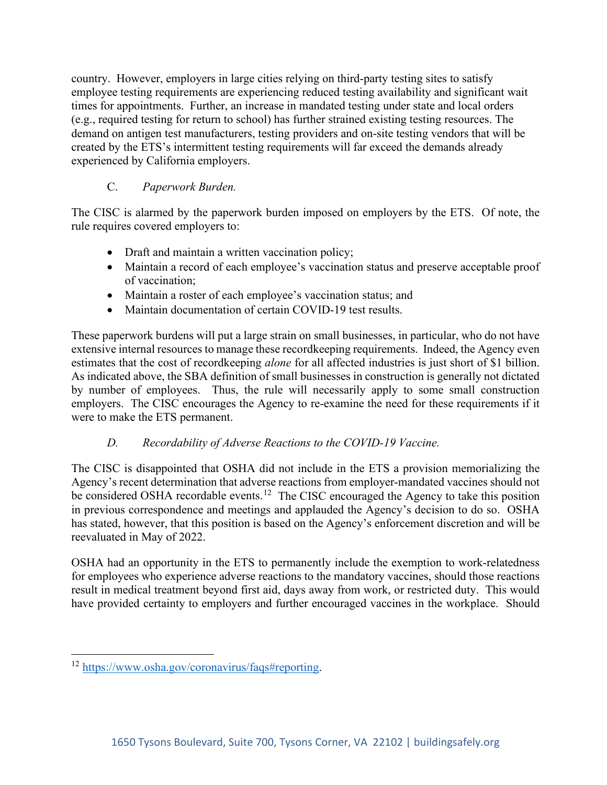country. However, employers in large cities relying on third-party testing sites to satisfy employee testing requirements are experiencing reduced testing availability and significant wait times for appointments. Further, an increase in mandated testing under state and local orders (e.g., required testing for return to school) has further strained existing testing resources. The demand on antigen test manufacturers, testing providers and on-site testing vendors that will be created by the ETS's intermittent testing requirements will far exceed the demands already experienced by California employers.

# C. *Paperwork Burden.*

The CISC is alarmed by the paperwork burden imposed on employers by the ETS. Of note, the rule requires covered employers to:

- Draft and maintain a written vaccination policy;
- Maintain a record of each employee's vaccination status and preserve acceptable proof of vaccination;
- Maintain a roster of each employee's vaccination status; and
- Maintain documentation of certain COVID-19 test results.

These paperwork burdens will put a large strain on small businesses, in particular, who do not have extensive internal resources to manage these recordkeeping requirements. Indeed, the Agency even estimates that the cost of recordkeeping *alone* for all affected industries is just short of \$1 billion. As indicated above, the SBA definition of small businesses in construction is generally not dictated by number of employees. Thus, the rule will necessarily apply to some small construction employers. The CISC encourages the Agency to re-examine the need for these requirements if it were to make the ETS permanent.

## *D. Recordability of Adverse Reactions to the COVID-19 Vaccine.*

The CISC is disappointed that OSHA did not include in the ETS a provision memorializing the Agency's recent determination that adverse reactions from employer-mandated vaccines should not be considered OSHA recordable events.<sup>[12](#page-7-0)</sup> The CISC encouraged the Agency to take this position in previous correspondence and meetings and applauded the Agency's decision to do so. OSHA has stated, however, that this position is based on the Agency's enforcement discretion and will be reevaluated in May of 2022.

OSHA had an opportunity in the ETS to permanently include the exemption to work-relatedness for employees who experience adverse reactions to the mandatory vaccines, should those reactions result in medical treatment beyond first aid, days away from work, or restricted duty. This would have provided certainty to employers and further encouraged vaccines in the workplace. Should

<span id="page-7-0"></span><sup>12</sup> [https://www.osha.gov/coronavirus/faqs#reporting.](https://www.osha.gov/coronavirus/faqs#reporting)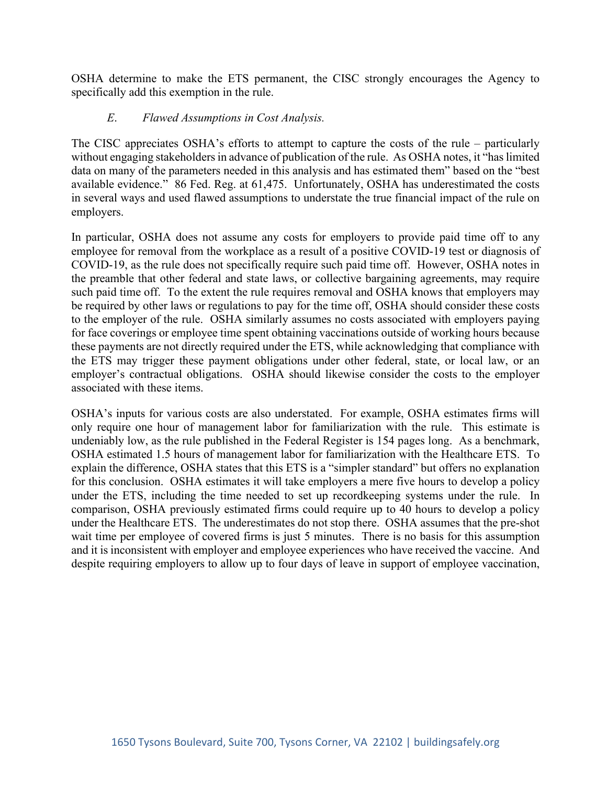OSHA determine to make the ETS permanent, the CISC strongly encourages the Agency to specifically add this exemption in the rule.

#### *E*. *Flawed Assumptions in Cost Analysis.*

The CISC appreciates OSHA's efforts to attempt to capture the costs of the rule – particularly without engaging stakeholders in advance of publication of the rule. As OSHA notes, it "has limited data on many of the parameters needed in this analysis and has estimated them" based on the "best available evidence." 86 Fed. Reg. at 61,475. Unfortunately, OSHA has underestimated the costs in several ways and used flawed assumptions to understate the true financial impact of the rule on employers.

In particular, OSHA does not assume any costs for employers to provide paid time off to any employee for removal from the workplace as a result of a positive COVID-19 test or diagnosis of COVID-19, as the rule does not specifically require such paid time off. However, OSHA notes in the preamble that other federal and state laws, or collective bargaining agreements, may require such paid time off. To the extent the rule requires removal and OSHA knows that employers may be required by other laws or regulations to pay for the time off, OSHA should consider these costs to the employer of the rule. OSHA similarly assumes no costs associated with employers paying for face coverings or employee time spent obtaining vaccinations outside of working hours because these payments are not directly required under the ETS, while acknowledging that compliance with the ETS may trigger these payment obligations under other federal, state, or local law, or an employer's contractual obligations. OSHA should likewise consider the costs to the employer associated with these items.

OSHA's inputs for various costs are also understated. For example, OSHA estimates firms will only require one hour of management labor for familiarization with the rule. This estimate is undeniably low, as the rule published in the Federal Register is 154 pages long. As a benchmark, OSHA estimated 1.5 hours of management labor for familiarization with the Healthcare ETS. To explain the difference, OSHA states that this ETS is a "simpler standard" but offers no explanation for this conclusion. OSHA estimates it will take employers a mere five hours to develop a policy under the ETS, including the time needed to set up recordkeeping systems under the rule. In comparison, OSHA previously estimated firms could require up to 40 hours to develop a policy under the Healthcare ETS. The underestimates do not stop there. OSHA assumes that the pre-shot wait time per employee of covered firms is just 5 minutes. There is no basis for this assumption and it is inconsistent with employer and employee experiences who have received the vaccine. And despite requiring employers to allow up to four days of leave in support of employee vaccination,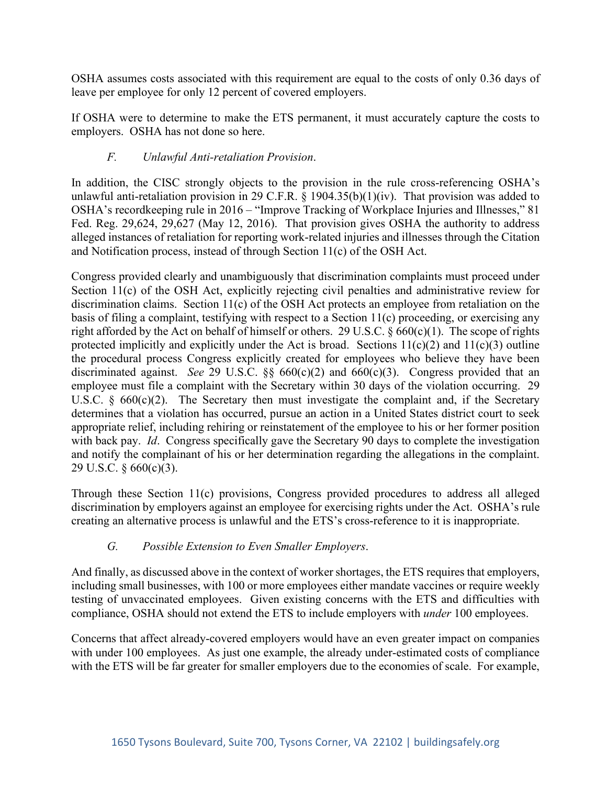OSHA assumes costs associated with this requirement are equal to the costs of only 0.36 days of leave per employee for only 12 percent of covered employers.

If OSHA were to determine to make the ETS permanent, it must accurately capture the costs to employers. OSHA has not done so here.

## *F. Unlawful Anti-retaliation Provision*.

In addition, the CISC strongly objects to the provision in the rule cross-referencing OSHA's unlawful anti-retaliation provision in 29 C.F.R. § 1904.35(b)(1)(iv). That provision was added to OSHA's recordkeeping rule in 2016 – "Improve Tracking of Workplace Injuries and Illnesses," 81 Fed. Reg. 29,624, 29,627 (May 12, 2016). That provision gives OSHA the authority to address alleged instances of retaliation for reporting work-related injuries and illnesses through the Citation and Notification process, instead of through Section 11(c) of the OSH Act.

Congress provided clearly and unambiguously that discrimination complaints must proceed under Section 11(c) of the OSH Act, explicitly rejecting civil penalties and administrative review for discrimination claims. Section 11(c) of the OSH Act protects an employee from retaliation on the basis of filing a complaint, testifying with respect to a Section 11(c) proceeding, or exercising any right afforded by the Act on behalf of himself or others. 29 U.S.C.  $\S 660(c)(1)$ . The scope of rights protected implicitly and explicitly under the Act is broad. Sections  $11(c)(2)$  and  $11(c)(3)$  outline the procedural process Congress explicitly created for employees who believe they have been discriminated against. *See* 29 U.S.C. §§ 660(c)(2) and 660(c)(3). Congress provided that an employee must file a complaint with the Secretary within 30 days of the violation occurring. 29 U.S.C.  $\S$  660(c)(2). The Secretary then must investigate the complaint and, if the Secretary determines that a violation has occurred, pursue an action in a United States district court to seek appropriate relief, including rehiring or reinstatement of the employee to his or her former position with back pay. *Id*. Congress specifically gave the Secretary 90 days to complete the investigation and notify the complainant of his or her determination regarding the allegations in the complaint. 29 U.S.C. § 660(c)(3).

Through these Section 11(c) provisions, Congress provided procedures to address all alleged discrimination by employers against an employee for exercising rights under the Act. OSHA's rule creating an alternative process is unlawful and the ETS's cross-reference to it is inappropriate.

## *G. Possible Extension to Even Smaller Employers*.

And finally, as discussed above in the context of worker shortages, the ETS requires that employers, including small businesses, with 100 or more employees either mandate vaccines or require weekly testing of unvaccinated employees. Given existing concerns with the ETS and difficulties with compliance, OSHA should not extend the ETS to include employers with *under* 100 employees.

Concerns that affect already-covered employers would have an even greater impact on companies with under 100 employees. As just one example, the already under-estimated costs of compliance with the ETS will be far greater for smaller employers due to the economies of scale. For example,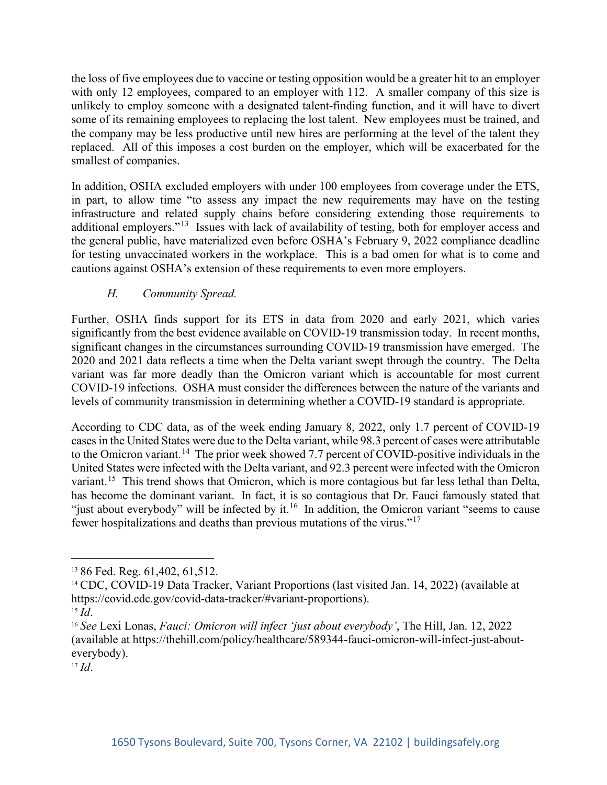the loss of five employees due to vaccine or testing opposition would be a greater hit to an employer with only 12 employees, compared to an employer with 112. A smaller company of this size is unlikely to employ someone with a designated talent-finding function, and it will have to divert some of its remaining employees to replacing the lost talent. New employees must be trained, and the company may be less productive until new hires are performing at the level of the talent they replaced. All of this imposes a cost burden on the employer, which will be exacerbated for the smallest of companies.

In addition, OSHA excluded employers with under 100 employees from coverage under the ETS, in part, to allow time "to assess any impact the new requirements may have on the testing infrastructure and related supply chains before considering extending those requirements to additional employers."<sup>13</sup> Issues with lack of availability of testing, both for employer access and the general public, have materialized even before OSHA's February 9, 2022 compliance deadline for testing unvaccinated workers in the workplace. This is a bad omen for what is to come and cautions against OSHA's extension of these requirements to even more employers.

## *H. Community Spread.*

Further, OSHA finds support for its ETS in data from 2020 and early 2021, which varies significantly from the best evidence available on COVID-19 transmission today. In recent months, significant changes in the circumstances surrounding COVID-19 transmission have emerged. The 2020 and 2021 data reflects a time when the Delta variant swept through the country. The Delta variant was far more deadly than the Omicron variant which is accountable for most current COVID-19 infections. OSHA must consider the differences between the nature of the variants and levels of community transmission in determining whether a COVID-19 standard is appropriate.

According to CDC data, as of the week ending January 8, 2022, only 1.7 percent of COVID-19 cases in the United States were due to the Delta variant, while 98.3 percent of cases were attributable to the Omicron variant.<sup>14</sup> The prior week showed 7.7 percent of COVID-positive individuals in the United States were infected with the Delta variant, and 92.3 percent were infected with the Omicron variant.<sup>[15](#page-10-2)</sup> This trend shows that Omicron, which is more contagious but far less lethal than Delta, has become the dominant variant. In fact, it is so contagious that Dr. Fauci famously stated that "just about everybody" will be infected by it.<sup>[16](#page-10-3)</sup> In addition, the Omicron variant "seems to cause" fewer hospitalizations and deaths than previous mutations of the virus."[17](#page-10-4)

<span id="page-10-4"></span><sup>17</sup> *Id*.

<span id="page-10-0"></span><sup>&</sup>lt;sup>13</sup> 86 Fed. Reg. 61, 402, 61, 512.

<span id="page-10-1"></span><sup>&</sup>lt;sup>14</sup> CDC, COVID-19 Data Tracker, Variant Proportions (last visited Jan. 14, 2022) (available at https://covid.cdc.gov/covid-data-tracker/#variant-proportions).

<span id="page-10-2"></span><sup>15</sup> *Id*.

<span id="page-10-3"></span><sup>16</sup> *See* Lexi Lonas, *Fauci: Omicron will infect 'just about everybody'*, The Hill, Jan. 12, 2022 (available at https://thehill.com/policy/healthcare/589344-fauci-omicron-will-infect-just-abouteverybody).